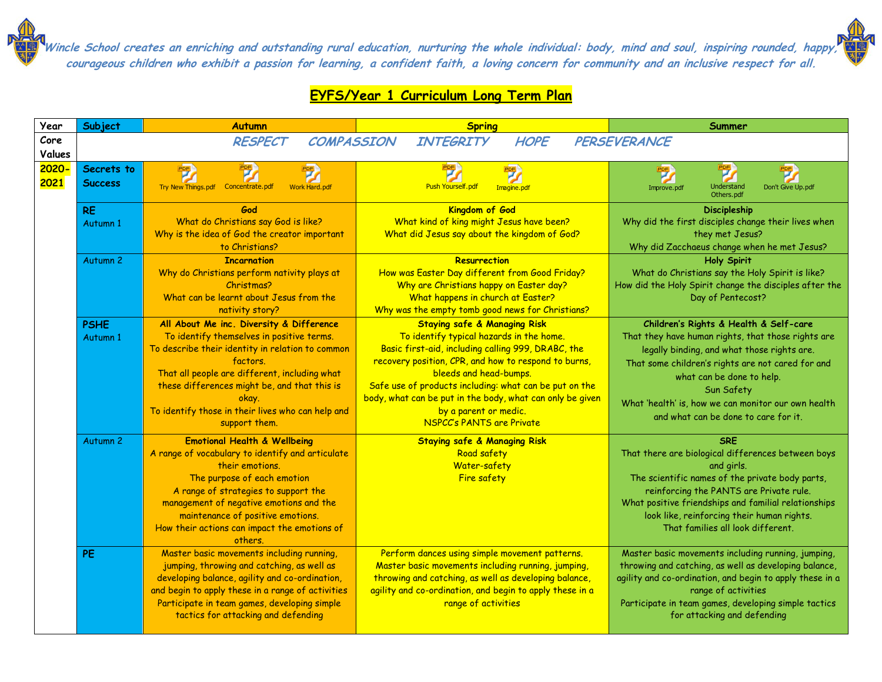## **EYFS/Year 1 Curriculum Long Term Plan**

| Year                    | Subject                      | <b>Autumn</b>                                                                                                                                                                                                                                                                                                                         | <b>Spring</b>                                                                                                                                                                                                                                                                                                                                                                                                   | Summer                                                                                                                                                                                                                                                                                                                                     |
|-------------------------|------------------------------|---------------------------------------------------------------------------------------------------------------------------------------------------------------------------------------------------------------------------------------------------------------------------------------------------------------------------------------|-----------------------------------------------------------------------------------------------------------------------------------------------------------------------------------------------------------------------------------------------------------------------------------------------------------------------------------------------------------------------------------------------------------------|--------------------------------------------------------------------------------------------------------------------------------------------------------------------------------------------------------------------------------------------------------------------------------------------------------------------------------------------|
| Core                    |                              | <b>RESPECT</b><br><b>COMPASSION</b>                                                                                                                                                                                                                                                                                                   | <b>INTEGRITY</b><br><b>HOPE</b>                                                                                                                                                                                                                                                                                                                                                                                 | PERSEVERANCE                                                                                                                                                                                                                                                                                                                               |
| Values<br>2020-<br>2021 | Secrets to<br><b>Success</b> | Try New Things.pdf Concentrate.pdf<br><b>Work Hard, pdf</b>                                                                                                                                                                                                                                                                           | <b>Push Yourself.pdf</b><br>Imagine.pdf                                                                                                                                                                                                                                                                                                                                                                         | <b>Understand</b><br>Don't Give Up.pdf<br>Improve.pdf<br>Others.pdf                                                                                                                                                                                                                                                                        |
|                         | <b>RE</b><br>Autumn 1        | God<br>What do Christians say God is like?<br>Why is the idea of God the creator important<br>to Christians?                                                                                                                                                                                                                          | Kingdom of God<br>What kind of king might Jesus have been?<br>What did Jesus say about the kingdom of God?                                                                                                                                                                                                                                                                                                      | <b>Discipleship</b><br>Why did the first disciples change their lives when<br>they met Jesus?<br>Why did Zacchaeus change when he met Jesus?                                                                                                                                                                                               |
|                         | Autumn <sub>2</sub>          | <b>Incarnation</b><br>Why do Christians perform nativity plays at<br>Christmas?<br>What can be learnt about Jesus from the<br>nativity story?                                                                                                                                                                                         | <b>Resurrection</b><br>How was Easter Day different from Good Friday?<br>Why are Christians happy on Easter day?<br>What happens in church at Easter?<br>Why was the empty tomb good news for Christians?                                                                                                                                                                                                       | <b>Holy Spirit</b><br>What do Christians say the Holy Spirit is like?<br>How did the Holy Spirit change the disciples after the<br>Day of Pentecost?                                                                                                                                                                                       |
|                         | <b>PSHE</b><br>Autumn 1      | All About Me inc. Diversity & Difference<br>To identify themselves in positive terms.<br>To describe their identity in relation to common<br>factors.<br>That all people are different, including what<br>these differences might be, and that this is<br>okay.<br>To identify those in their lives who can help and<br>support them. | <b>Staying safe &amp; Managing Risk</b><br>To identify typical hazards in the home.<br>Basic first-aid, including calling 999, DRABC, the<br>recovery position, CPR, and how to respond to burns,<br>bleeds and head-bumps.<br>Safe use of products including: what can be put on the<br>body, what can be put in the body, what can only be given<br>by a parent or medic.<br><b>NSPCC's PANTS are Private</b> | Children's Rights & Health & Self-care<br>That they have human rights, that those rights are<br>legally binding, and what those rights are.<br>That some children's rights are not cared for and<br>what can be done to help.<br>Sun Safety<br>What 'health' is, how we can monitor our own health<br>and what can be done to care for it. |
|                         | Autumn <sub>2</sub>          | <b>Emotional Health &amp; Wellbeing</b><br>A range of vocabulary to identify and articulate<br>their emotions.<br>The purpose of each emotion<br>A range of strategies to support the<br>management of negative emotions and the<br>maintenance of positive emotions.<br>How their actions can impact the emotions of<br>others.      | <b>Staying safe &amp; Managing Risk</b><br>Road safety<br>Water-safety<br><b>Fire safety</b>                                                                                                                                                                                                                                                                                                                    | <b>SRE</b><br>That there are biological differences between boys<br>and girls.<br>The scientific names of the private body parts,<br>reinforcing the PANTS are Private rule.<br>What positive friendships and familial relationships<br>look like, reinforcing their human rights.<br>That families all look different.                    |
|                         | <b>PE</b>                    | Master basic movements including running,<br>jumping, throwing and catching, as well as<br>developing balance, agility and co-ordination,<br>and begin to apply these in a range of activities<br>Participate in team games, developing simple<br>tactics for attacking and defending                                                 | Perform dances using simple movement patterns.<br>Master basic movements including running, jumping,<br>throwing and catching, as well as developing balance,<br>agility and co-ordination, and begin to apply these in a<br>range of activities                                                                                                                                                                | Master basic movements including running, jumping,<br>throwing and catching, as well as developing balance,<br>agility and co-ordination, and begin to apply these in a<br>range of activities<br>Participate in team games, developing simple tactics<br>for attacking and defending                                                      |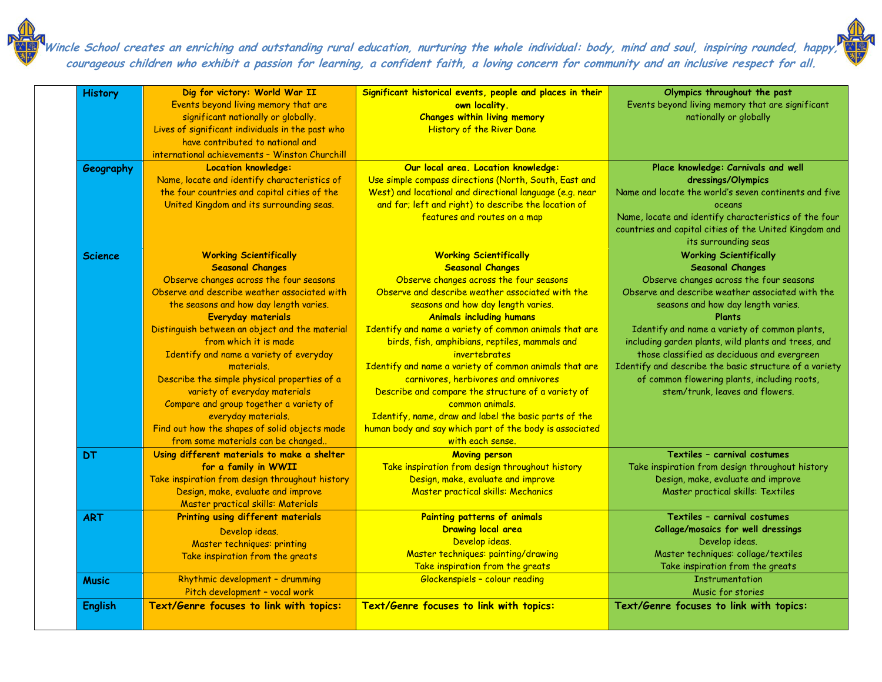| <b>History</b> | Dig for victory: World War II<br>Events beyond living memory that are<br>significant nationally or globally.<br>Lives of significant individuals in the past who<br>have contributed to national and<br>international achievements - Winston Churchill                                                                                                                                                                                                                                                                                                                                                    | Significant historical events, people and places in their<br>own locality.<br><b>Changes within living memory</b><br>History of the River Dane                                                                                                                                                                                                                                                                                                                                                                                                                                                                                                                                   | Olympics throughout the past<br>Events beyond living memory that are significant<br>nationally or globally                                                                                                                                                                                                                                                                                                                                                                                                         |
|----------------|-----------------------------------------------------------------------------------------------------------------------------------------------------------------------------------------------------------------------------------------------------------------------------------------------------------------------------------------------------------------------------------------------------------------------------------------------------------------------------------------------------------------------------------------------------------------------------------------------------------|----------------------------------------------------------------------------------------------------------------------------------------------------------------------------------------------------------------------------------------------------------------------------------------------------------------------------------------------------------------------------------------------------------------------------------------------------------------------------------------------------------------------------------------------------------------------------------------------------------------------------------------------------------------------------------|--------------------------------------------------------------------------------------------------------------------------------------------------------------------------------------------------------------------------------------------------------------------------------------------------------------------------------------------------------------------------------------------------------------------------------------------------------------------------------------------------------------------|
| Geography      | <b>Location knowledge:</b><br>Name, locate and identify characteristics of<br>the four countries and capital cities of the<br>United Kingdom and its surrounding seas.                                                                                                                                                                                                                                                                                                                                                                                                                                    | Our local area. Location knowledge:<br>Use simple compass directions (North, South, East and<br>West) and locational and directional language (e.g. near<br>and far; left and right) to describe the location of<br>features and routes on a map                                                                                                                                                                                                                                                                                                                                                                                                                                 | Place knowledge: Carnivals and well<br>dressings/Olympics<br>Name and locate the world's seven continents and five<br>oceans<br>Name, locate and identify characteristics of the four<br>countries and capital cities of the United Kingdom and<br>its surrounding seas                                                                                                                                                                                                                                            |
| <b>Science</b> | <b>Working Scientifically</b><br><b>Seasonal Changes</b><br>Observe changes across the four seasons<br>Observe and describe weather associated with<br>the seasons and how day length varies.<br><b>Everyday materials</b><br>Distinguish between an object and the material<br>from which it is made<br>Identify and name a variety of everyday<br>materials.<br>Describe the simple physical properties of a<br>variety of everyday materials<br>Compare and group together a variety of<br>everyday materials.<br>Find out how the shapes of solid objects made<br>from some materials can be changed. | <b>Working Scientifically</b><br><b>Seasonal Changes</b><br>Observe changes across the four seasons<br>Observe and describe weather associated with the<br>seasons and how day length varies.<br><b>Animals including humans</b><br>Identify and name a variety of common animals that are<br>birds, fish, amphibians, reptiles, mammals and<br>invertebrates<br>Identify and name a variety of common animals that are<br>carnivores, herbivores and omnivores<br>Describe and compare the structure of a variety of<br>common animals.<br>Identify, name, draw and label the basic parts of the<br>human body and say which part of the body is associated<br>with each sense. | <b>Working Scientifically</b><br><b>Seasonal Changes</b><br>Observe changes across the four seasons<br>Observe and describe weather associated with the<br>seasons and how day length varies.<br><b>Plants</b><br>Identify and name a variety of common plants,<br>including garden plants, wild plants and trees, and<br>those classified as deciduous and evergreen<br>Identify and describe the basic structure of a variety<br>of common flowering plants, including roots,<br>stem/trunk, leaves and flowers. |
| <b>DT</b>      | Using different materials to make a shelter<br>for a family in WWII<br>Take inspiration from design throughout history<br>Design, make, evaluate and improve<br>Master practical skills: Materials                                                                                                                                                                                                                                                                                                                                                                                                        | <b>Moving person</b><br>Take inspiration from design throughout history<br>Design, make, evaluate and improve<br><b>Master practical skills: Mechanics</b>                                                                                                                                                                                                                                                                                                                                                                                                                                                                                                                       | Textiles - carnival costumes<br>Take inspiration from design throughout history<br>Design, make, evaluate and improve<br>Master practical skills: Textiles                                                                                                                                                                                                                                                                                                                                                         |
| <b>ART</b>     | Printing using different materials<br>Develop ideas.<br>Master techniques: printing<br>Take inspiration from the greats                                                                                                                                                                                                                                                                                                                                                                                                                                                                                   | Painting patterns of animals<br><b>Drawing local area</b><br>Develop ideas.<br>Master techniques: painting/drawing<br>Take inspiration from the greats                                                                                                                                                                                                                                                                                                                                                                                                                                                                                                                           | Textiles - carnival costumes<br><b>Collage/mosaics for well dressings</b><br>Develop ideas.<br>Master techniques: collage/textiles<br>Take inspiration from the greats                                                                                                                                                                                                                                                                                                                                             |
| <b>Music</b>   | Rhythmic development - drumming<br>Pitch development - vocal work                                                                                                                                                                                                                                                                                                                                                                                                                                                                                                                                         | Glockenspiels - colour reading                                                                                                                                                                                                                                                                                                                                                                                                                                                                                                                                                                                                                                                   | <b>Instrumentation</b><br>Music for stories                                                                                                                                                                                                                                                                                                                                                                                                                                                                        |
| English        | Text/Genre focuses to link with topics:                                                                                                                                                                                                                                                                                                                                                                                                                                                                                                                                                                   | Text/Genre focuses to link with topics:                                                                                                                                                                                                                                                                                                                                                                                                                                                                                                                                                                                                                                          | Text/Genre focuses to link with topics:                                                                                                                                                                                                                                                                                                                                                                                                                                                                            |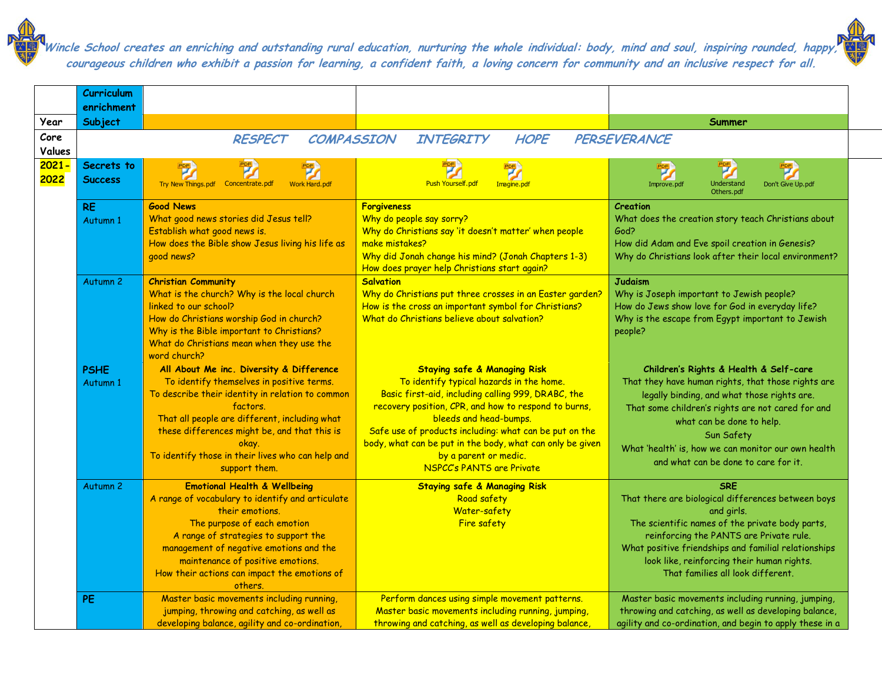|                  | Curriculum                   |                                                                                                                                                                                                                                                                                                                                       |                                                                                                                                                                                                                                                                                                                                                                                                                 |                                                                                                                                                                                                                                                                                                                                            |
|------------------|------------------------------|---------------------------------------------------------------------------------------------------------------------------------------------------------------------------------------------------------------------------------------------------------------------------------------------------------------------------------------|-----------------------------------------------------------------------------------------------------------------------------------------------------------------------------------------------------------------------------------------------------------------------------------------------------------------------------------------------------------------------------------------------------------------|--------------------------------------------------------------------------------------------------------------------------------------------------------------------------------------------------------------------------------------------------------------------------------------------------------------------------------------------|
| Year             | enrichment<br>Subject        |                                                                                                                                                                                                                                                                                                                                       |                                                                                                                                                                                                                                                                                                                                                                                                                 | Summer                                                                                                                                                                                                                                                                                                                                     |
| Core<br>Values   |                              | <b>RESPECT</b><br><b>COMPASSION</b>                                                                                                                                                                                                                                                                                                   | <b>INTEGRITY</b><br><b>HOPE</b>                                                                                                                                                                                                                                                                                                                                                                                 | PERSEVERANCE                                                                                                                                                                                                                                                                                                                               |
| $2021 -$<br>2022 | Secrets to<br><b>Success</b> | Try New Things.pdf    Concentrate.pdf<br>Work Hard.pdf                                                                                                                                                                                                                                                                                | <b>Push Yourself.pdf</b><br>Imagine.pdf                                                                                                                                                                                                                                                                                                                                                                         | Understand<br>Don't Give Up.pdf<br>Improve.pdf<br>Others.pdf                                                                                                                                                                                                                                                                               |
|                  | <b>RE</b><br>Autumn 1        | <b>Good News</b><br>What good news stories did Jesus tell?<br>Establish what good news is.<br>How does the Bible show Jesus living his life as<br>good news?                                                                                                                                                                          | <b>Forgiveness</b><br>Why do people say sorry?<br>Why do Christians say 'it doesn't matter' when people<br>make mistakes?<br>Why did Jonah change his mind? (Jonah Chapters 1-3)<br>How does prayer help Christians start again?                                                                                                                                                                                | Creation<br>What does the creation story teach Christians about<br>God?<br>How did Adam and Eve spoil creation in Genesis?<br>Why do Christians look after their local environment?                                                                                                                                                        |
|                  | Autumn <sub>2</sub>          | <b>Christian Community</b><br>What is the church? Why is the local church<br>linked to our school?<br>How do Christians worship God in church?<br>Why is the Bible important to Christians?<br>What do Christians mean when they use the<br>word church?                                                                              | <b>Salvation</b><br>Why do Christians put three crosses in an Easter garden?<br>How is the cross an important symbol for Christians?<br>What do Christians believe about salvation?                                                                                                                                                                                                                             | <b>Judaism</b><br>Why is Joseph important to Jewish people?<br>How do Jews show love for God in everyday life?<br>Why is the escape from Egypt important to Jewish<br>people?                                                                                                                                                              |
|                  | <b>PSHE</b><br>Autumn 1      | All About Me inc. Diversity & Difference<br>To identify themselves in positive terms.<br>To describe their identity in relation to common<br>factors.<br>That all people are different, including what<br>these differences might be, and that this is<br>okay.<br>To identify those in their lives who can help and<br>support them. | <b>Staying safe &amp; Managing Risk</b><br>To identify typical hazards in the home.<br>Basic first-aid, including calling 999, DRABC, the<br>recovery position, CPR, and how to respond to burns,<br>bleeds and head-bumps.<br>Safe use of products including: what can be put on the<br>body, what can be put in the body, what can only be given<br>by a parent or medic.<br><b>NSPCC's PANTS are Private</b> | Children's Rights & Health & Self-care<br>That they have human rights, that those rights are<br>legally binding, and what those rights are.<br>That some children's rights are not cared for and<br>what can be done to help.<br>Sun Safety<br>What 'health' is, how we can monitor our own health<br>and what can be done to care for it. |
|                  | Autumn <sub>2</sub>          | <b>Emotional Health &amp; Wellbeing</b><br>A range of vocabulary to identify and articulate<br>their emotions.<br>The purpose of each emotion<br>A range of strategies to support the<br>management of negative emotions and the<br>maintenance of positive emotions.<br>How their actions can impact the emotions of<br>others.      | <b>Staying safe &amp; Managing Risk</b><br>Road safety<br>Water-safety<br>Fire safety                                                                                                                                                                                                                                                                                                                           | <b>SRE</b><br>That there are biological differences between boys<br>and girls.<br>The scientific names of the private body parts,<br>reinforcing the PANTS are Private rule.<br>What positive friendships and familial relationships<br>look like, reinforcing their human rights.<br>That families all look different.                    |
|                  | PE                           | Master basic movements including running,<br>jumping, throwing and catching, as well as<br>developing balance, agility and co-ordination,                                                                                                                                                                                             | Perform dances using simple movement patterns.<br>Master basic movements including running, jumping,<br>throwing and catching, as well as developing balance,                                                                                                                                                                                                                                                   | Master basic movements including running, jumping,<br>throwing and catching, as well as developing balance,<br>agility and co-ordination, and begin to apply these in a                                                                                                                                                                    |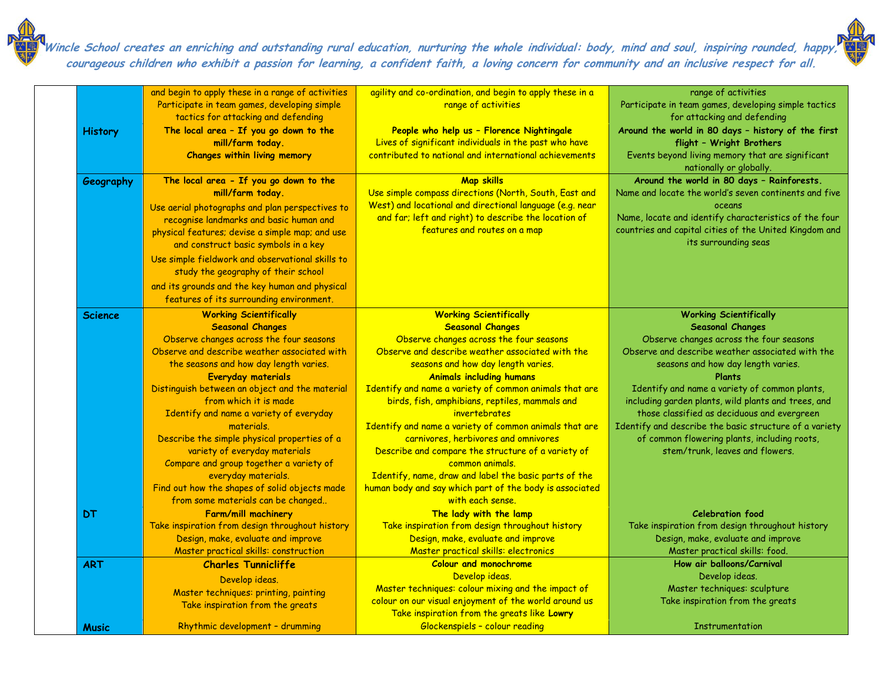|                | and begin to apply these in a range of activities<br>Participate in team games, developing simple<br>tactics for attacking and defending                                                                                                                                                                                                                                                                                                                                                                                                                                                                 | agility and co-ordination, and begin to apply these in a<br>range of activities                                                                                                                                                                                                                                                                                                                                                                                                                                                                                                                                                                                                  | range of activities<br>Participate in team games, developing simple tactics<br>for attacking and defending                                                                                                                                                                                                                                                                                                                                                                                                  |
|----------------|----------------------------------------------------------------------------------------------------------------------------------------------------------------------------------------------------------------------------------------------------------------------------------------------------------------------------------------------------------------------------------------------------------------------------------------------------------------------------------------------------------------------------------------------------------------------------------------------------------|----------------------------------------------------------------------------------------------------------------------------------------------------------------------------------------------------------------------------------------------------------------------------------------------------------------------------------------------------------------------------------------------------------------------------------------------------------------------------------------------------------------------------------------------------------------------------------------------------------------------------------------------------------------------------------|-------------------------------------------------------------------------------------------------------------------------------------------------------------------------------------------------------------------------------------------------------------------------------------------------------------------------------------------------------------------------------------------------------------------------------------------------------------------------------------------------------------|
| <b>History</b> | The local area - If you go down to the<br>mill/farm today.<br><b>Changes within living memory</b>                                                                                                                                                                                                                                                                                                                                                                                                                                                                                                        | People who help us - Florence Nightingale<br>Lives of significant individuals in the past who have<br>contributed to national and international achievements                                                                                                                                                                                                                                                                                                                                                                                                                                                                                                                     | Around the world in 80 days - history of the first<br>flight - Wright Brothers<br>Events beyond living memory that are significant<br>nationally or globally.                                                                                                                                                                                                                                                                                                                                               |
| Geography      | The local area - If you go down to the<br>mill/farm today.<br>Use aerial photographs and plan perspectives to<br>recognise landmarks and basic human and<br>physical features; devise a simple map; and use<br>and construct basic symbols in a key<br>Use simple fieldwork and observational skills to<br>study the geography of their school<br>and its grounds and the key human and physical<br>features of its surrounding environment.                                                                                                                                                             | Map skills<br>Use simple compass directions (North, South, East and<br>West) and locational and directional language (e.g. near<br>and far; left and right) to describe the location of<br>features and routes on a map                                                                                                                                                                                                                                                                                                                                                                                                                                                          | Around the world in 80 days - Rainforests.<br>Name and locate the world's seven continents and five<br>oceans<br>Name, locate and identify characteristics of the four<br>countries and capital cities of the United Kingdom and<br>its surrounding seas                                                                                                                                                                                                                                                    |
| <b>Science</b> | <b>Working Scientifically</b><br><b>Seasonal Changes</b><br>Observe changes across the four seasons<br>Observe and describe weather associated with<br>the seasons and how day length varies.<br><b>Everyday materials</b><br>Distinguish between an object and the material<br>from which it is made<br>Identify and name a variety of everyday<br>materials.<br>Describe the simple physical properties of a<br>variety of everyday materials<br>Compare and group together a variety of<br>everyday materials.<br>Find out how the shapes of solid objects made<br>from some materials can be changed | <b>Working Scientifically</b><br><b>Seasonal Changes</b><br>Observe changes across the four seasons<br>Observe and describe weather associated with the<br>seasons and how day length varies.<br><b>Animals including humans</b><br>Identify and name a variety of common animals that are<br>birds, fish, amphibians, reptiles, mammals and<br>invertebrates<br>Identify and name a variety of common animals that are<br>carnivores, herbivores and omnivores<br>Describe and compare the structure of a variety of<br>common animals.<br>Identify, name, draw and label the basic parts of the<br>human body and say which part of the body is associated<br>with each sense. | <b>Working Scientifically</b><br><b>Seasonal Changes</b><br>Observe changes across the four seasons<br>Observe and describe weather associated with the<br>seasons and how day length varies.<br>Plants<br>Identify and name a variety of common plants,<br>including garden plants, wild plants and trees, and<br>those classified as deciduous and evergreen<br>Identify and describe the basic structure of a variety<br>of common flowering plants, including roots,<br>stem/trunk, leaves and flowers. |
| <b>DT</b>      | Farm/mill machinery<br>Take inspiration from design throughout history<br>Design, make, evaluate and improve<br>Master practical skills: construction                                                                                                                                                                                                                                                                                                                                                                                                                                                    | The lady with the lamp<br>Take inspiration from design throughout history<br>Design, make, evaluate and improve<br>Master practical skills: electronics                                                                                                                                                                                                                                                                                                                                                                                                                                                                                                                          | <b>Celebration food</b><br>Take inspiration from design throughout history<br>Design, make, evaluate and improve<br>Master practical skills: food.                                                                                                                                                                                                                                                                                                                                                          |
| <b>ART</b>     | <b>Charles Tunnicliffe</b><br>Develop ideas.<br>Master techniques: printing, painting<br>Take inspiration from the greats                                                                                                                                                                                                                                                                                                                                                                                                                                                                                | <b>Colour and monochrome</b><br>Develop ideas.<br>Master techniques: colour mixing and the impact of<br>colour on our visual enjoyment of the world around us<br>Take inspiration from the greats like Lowry                                                                                                                                                                                                                                                                                                                                                                                                                                                                     | How air balloons/Carnival<br>Develop ideas.<br>Master techniques: sculpture<br>Take inspiration from the greats                                                                                                                                                                                                                                                                                                                                                                                             |
| <b>Music</b>   | Rhythmic development - drumming                                                                                                                                                                                                                                                                                                                                                                                                                                                                                                                                                                          | Glockenspiels - colour reading                                                                                                                                                                                                                                                                                                                                                                                                                                                                                                                                                                                                                                                   | <b>Instrumentation</b>                                                                                                                                                                                                                                                                                                                                                                                                                                                                                      |